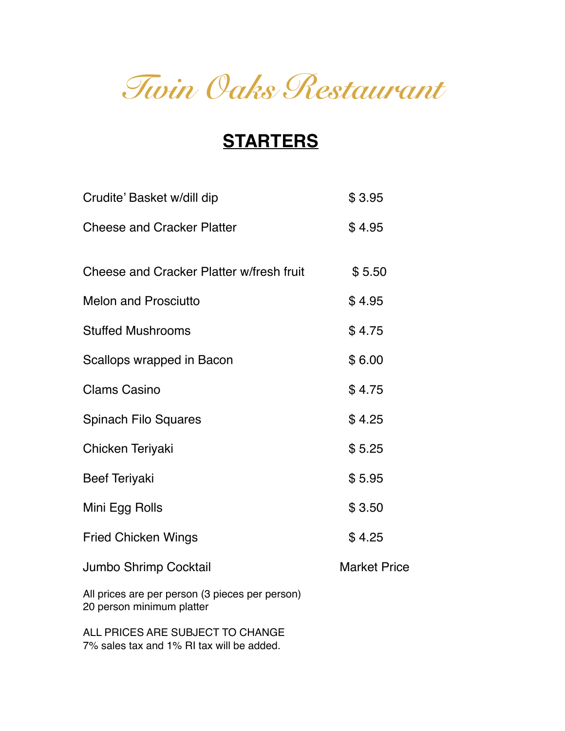# *Twin Oaks Restaurant*

## **STARTERS**

| Crudite' Basket w/dill dip                                                   | \$3.95              |
|------------------------------------------------------------------------------|---------------------|
| <b>Cheese and Cracker Platter</b>                                            | \$4.95              |
| Cheese and Cracker Platter w/fresh fruit                                     | \$5.50              |
| <b>Melon and Prosciutto</b>                                                  | \$4.95              |
| <b>Stuffed Mushrooms</b>                                                     | \$4.75              |
| Scallops wrapped in Bacon                                                    | \$6.00              |
| <b>Clams Casino</b>                                                          | \$4.75              |
| <b>Spinach Filo Squares</b>                                                  | \$4.25              |
| Chicken Teriyaki                                                             | \$5.25              |
| <b>Beef Teriyaki</b>                                                         | \$5.95              |
| Mini Egg Rolls                                                               | \$3.50              |
| <b>Fried Chicken Wings</b>                                                   | \$4.25              |
| <b>Jumbo Shrimp Cocktail</b>                                                 | <b>Market Price</b> |
| All prices are per person (3 pieces per person)<br>20 person minimum platter |                     |

ALL PRICES ARE SUBJECT TO CHANGE 7% sales tax and 1% RI tax will be added.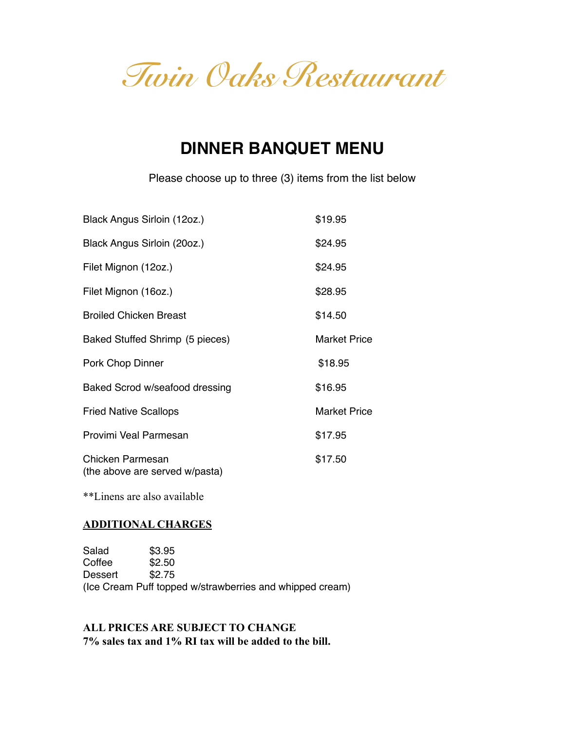*Twin Oaks Restaurant*

## **DINNER BANQUET MENU**

Please choose up to three (3) items from the list below

| Black Angus Sirloin (12oz.)                        | \$19.95             |
|----------------------------------------------------|---------------------|
| Black Angus Sirloin (20oz.)                        | \$24.95             |
| Filet Mignon (12oz.)                               | \$24.95             |
| Filet Mignon (16oz.)                               | \$28.95             |
| <b>Broiled Chicken Breast</b>                      | \$14.50             |
| Baked Stuffed Shrimp (5 pieces)                    | <b>Market Price</b> |
| Pork Chop Dinner                                   | \$18.95             |
| Baked Scrod w/seafood dressing                     | \$16.95             |
| <b>Fried Native Scallops</b>                       | <b>Market Price</b> |
| Provimi Veal Parmesan                              | \$17.95             |
| Chicken Parmesan<br>(the above are served w/pasta) | \$17.50             |

\*\*Linens are also available

#### **ADDITIONAL CHARGES**

Salad \$3.95<br>Coffee \$2.50 Coffee \$2.50<br>Dessert \$2.75 Dessert (Ice Cream Puff topped w/strawberries and whipped cream)

#### **ALL PRICES ARE SUBJECT TO CHANGE 7% sales tax and 1% RI tax will be added to the bill.**